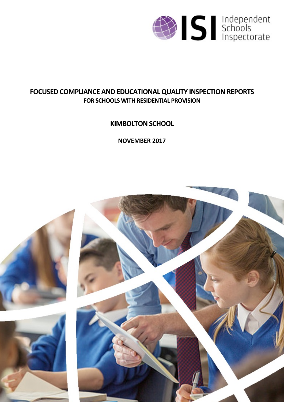

# **FOCUSED COMPLIANCE AND EDUCATIONALQUALITY INSPECTIONREPORTS FOR SCHOOLS WITH RESIDENTIAL PROVISION**

**KIMBOLTON SCHOOL** 

**NOVEMBER 2017**

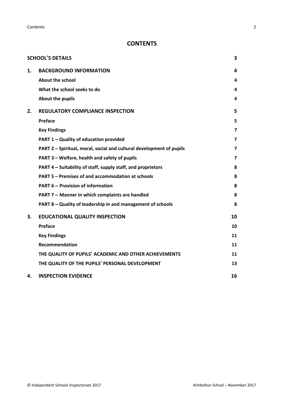**Contents** 2

## **CONTENTS**

|    | <b>SCHOOL'S DETAILS</b>                                              | 3              |
|----|----------------------------------------------------------------------|----------------|
| 1. | <b>BACKGROUND INFORMATION</b>                                        | 4              |
|    | <b>About the school</b>                                              | 4              |
|    | What the school seeks to do                                          | 4              |
|    | About the pupils                                                     | 4              |
| 2. | <b>REGULATORY COMPLIANCE INSPECTION</b>                              | 5              |
|    | Preface                                                              | 5              |
|    | <b>Key Findings</b>                                                  | 7              |
|    | PART 1 - Quality of education provided                               | $\overline{7}$ |
|    | PART 2 - Spiritual, moral, social and cultural development of pupils | 7              |
|    | PART 3 - Welfare, health and safety of pupils                        | $\overline{7}$ |
|    | PART 4 - Suitability of staff, supply staff, and proprietors         | 8              |
|    | PART 5 - Premises of and accommodation at schools                    | 8              |
|    | <b>PART 6 - Provision of information</b>                             | 8              |
|    | PART 7 - Manner in which complaints are handled                      | 8              |
|    | PART 8 - Quality of leadership in and management of schools          | 8              |
| 3. | <b>EDUCATIONAL QUALITY INSPECTION</b>                                | 10             |
|    | <b>Preface</b>                                                       | 10             |
|    | <b>Key Findings</b>                                                  | 11             |
|    | Recommendation                                                       | 11             |
|    | THE QUALITY OF PUPILS' ACADEMIC AND OTHER ACHIEVEMENTS               | 11             |
|    | THE QUALITY OF THE PUPILS' PERSONAL DEVELOPMENT                      | 13             |
| 4. | <b>INSPECTION EVIDENCE</b>                                           | 16             |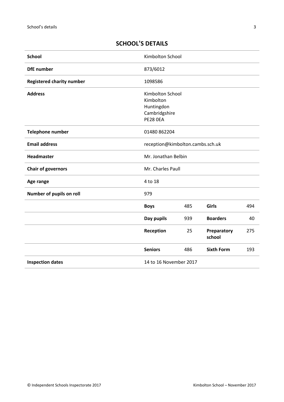## <span id="page-2-0"></span>**SCHOOL'S DETAILS**

| <b>School</b>                    | Kimbolton School                                                         |     |                       |     |
|----------------------------------|--------------------------------------------------------------------------|-----|-----------------------|-----|
| <b>DfE</b> number                | 873/6012                                                                 |     |                       |     |
| <b>Registered charity number</b> | 1098586                                                                  |     |                       |     |
| <b>Address</b>                   | Kimbolton School<br>Kimbolton<br>Huntingdon<br>Cambridgshire<br>PE28 OEA |     |                       |     |
| <b>Telephone number</b>          | 01480 862204                                                             |     |                       |     |
| <b>Email address</b>             | reception@kimbolton.cambs.sch.uk                                         |     |                       |     |
| <b>Headmaster</b>                | Mr. Jonathan Belbin                                                      |     |                       |     |
| <b>Chair of governors</b>        | Mr. Charles Paull                                                        |     |                       |     |
| Age range                        | 4 to 18                                                                  |     |                       |     |
| Number of pupils on roll         | 979                                                                      |     |                       |     |
|                                  | <b>Boys</b>                                                              | 485 | <b>Girls</b>          | 494 |
|                                  | Day pupils                                                               | 939 | <b>Boarders</b>       | 40  |
|                                  | Reception                                                                | 25  | Preparatory<br>school | 275 |
|                                  | <b>Seniors</b>                                                           | 486 | <b>Sixth Form</b>     | 193 |
| <b>Inspection dates</b>          | 14 to 16 November 2017                                                   |     |                       |     |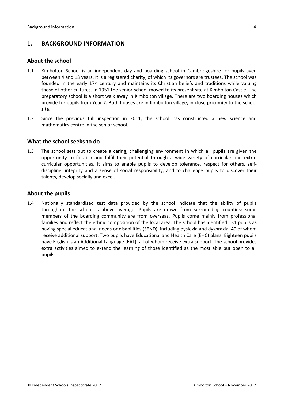### <span id="page-3-0"></span>**1. BACKGROUND INFORMATION**

#### <span id="page-3-1"></span>**About the school**

- 1.1 Kimbolton School is an independent day and boarding school in Cambridgeshire for pupils aged between 4 and 18 years. It is a registered charity, of which its governors are trustees. The school was founded in the early  $17<sup>th</sup>$  century and maintains its Christian beliefs and traditions while valuing those of other cultures. In 1951 the senior school moved to its present site at Kimbolton Castle. The preparatory school is a short walk away in Kimbolton village. There are two boarding houses which provide for pupils from Year 7. Both houses are in Kimbolton village, in close proximity to the school site.
- 1.2 Since the previous full inspection in 2011, the school has constructed a new science and mathematics centre in the senior school.

#### <span id="page-3-2"></span>**What the school seeks to do**

1.3 The school sets out to create a caring, challenging environment in which all pupils are given the opportunity to flourish and fulfil their potential through a wide variety of curricular and extracurricular opportunities. It aims to enable pupils to develop tolerance, respect for others, selfdiscipline, integrity and a sense of social responsibility, and to challenge pupils to discover their talents, develop socially and excel.

#### <span id="page-3-3"></span>**About the pupils**

1.4 Nationally standardised test data provided by the school indicate that the ability of pupils throughout the school is above average. Pupils are drawn from surrounding counties; some members of the boarding community are from overseas. Pupils come mainly from professional families and reflect the ethnic composition of the local area. The school has identified 131 pupils as having special educational needs or disabilities (SEND), including dyslexia and dyspraxia, 40 of whom receive additional support. Two pupils have Educational and Health Care (EHC) plans. Eighteen pupils have English is an Additional Language (EAL), all of whom receive extra support. The school provides extra activities aimed to extend the learning of those identified as the most able but open to all pupils.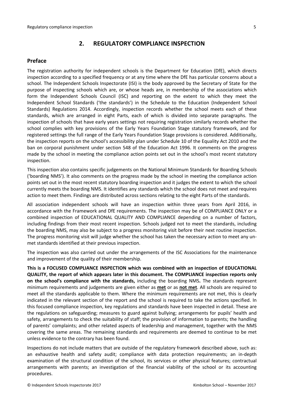#### <span id="page-4-0"></span>**2. REGULATORY COMPLIANCE INSPECTION**

#### <span id="page-4-1"></span>**Preface**

The registration authority for independent schools is the Department for Education (DfE), which directs inspection according to a specified frequency or at any time where the DfE has particular concerns about a school. The Independent Schools Inspectorate (ISI) is the body approved by the Secretary of State for the purpose of inspecting schools which are, or whose heads are, in membership of the associations which form the Independent Schools Council (ISC) and reporting on the extent to which they meet the Independent School Standards ('the standards') in the Schedule to the Education (Independent School Standards) Regulations 2014. Accordingly, inspection records whether the school meets each of these standards, which are arranged in eight Parts, each of which is divided into separate paragraphs. The inspection of schools that have early years settings not requiring registration similarly records whether the school complies with key provisions of the Early Years Foundation Stage statutory framework, and for registered settings the full range of the Early Years Foundation Stage provisions is considered. Additionally, the inspection reports on the school's accessibility plan under Schedule 10 of the Equality Act 2010 and the ban on corporal punishment under section 548 of the Education Act 1996. It comments on the progress made by the school in meeting the compliance action points set out in the school's most recent statutory inspection.

This inspection also contains specific judgements on the National Minimum Standards for Boarding Schools ('boarding NMS'). It also comments on the progress made by the school in meeting the compliance action points set out in the most recent statutory boarding inspection and it judges the extent to which the school currently meets the boarding NMS. It identifies any standards which the school does not meet and requires action to meet them. Findings are distributed across sections relating to the eight Parts of the standards.

All association independent schools will have an inspection within three years from April 2016, in accordance with the Framework and DfE requirements. The inspection may be of COMPLIANCE ONLY or a combined inspection of EDUCATIONAL QUALITY AND COMPLIANCE depending on a number of factors, including findings from their most recent inspection. Schools judged not to meet the standards, including the boarding NMS, may also be subject to a progress monitoring visit before their next routine inspection. The progress monitoring visit will judge whether the school has taken the necessary action to meet any unmet standards identified at their previous inspection.

The inspection was also carried out under the arrangements of the ISC Associations for the maintenance and improvement of the quality of their membership.

**This is a FOCUSED COMPLIANCE INSPECTION which was combined with an inspection of EDUCATIONAL QUALITY, the report of which appears later in this document. The COMPLIANCE inspection reports only on the school's compliance with the standards,** including the boarding NMS**.** The standards represent minimum requirements and judgements are given either as **met** or as **not met**. All schools are required to meet all the standards applicable to them. Where the minimum requirements are not met, this is clearly indicated in the relevant section of the report and the school is required to take the actions specified. In this focused compliance inspection, key regulations and standards have been inspected in detail. These are the regulations on safeguarding; measures to guard against bullying; arrangements for pupils' health and safety, arrangements to check the suitability of staff; the provision of information to parents; the handling of parents' complaints; and other related aspects of leadership and management, together with the NMS covering the same areas. The remaining standards and requirements are deemed to continue to be met unless evidence to the contrary has been found.

Inspections do not include matters that are outside of the regulatory framework described above, such as: an exhaustive health and safety audit; compliance with data protection requirements; an in-depth examination of the structural condition of the school, its services or other physical features; contractual arrangements with parents; an investigation of the financial viability of the school or its accounting procedures.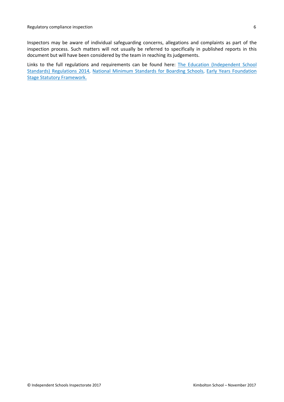Inspectors may be aware of individual safeguarding concerns, allegations and complaints as part of the inspection process. Such matters will not usually be referred to specifically in published reports in this document but will have been considered by the team in reaching its judgements.

Links to the full regulations and requirements can be found here: The Education [\(Independent](http://www.legislation.gov.uk/uksi/2014/3283/contents/made) School Standards) [Regulations](http://www.legislation.gov.uk/uksi/2014/3283/contents/made) 2014, National Minimum [Standards](https://www.gov.uk/government/uploads/system/uploads/attachment_data/file/416186/20150319_nms_bs_standards.pdf) for Boarding Schools, Early Years [Foundation](https://www.gov.uk/government/publications/early-years-foundation-stage-framework--2) Stage Statutory [Framework.](https://www.gov.uk/government/publications/early-years-foundation-stage-framework--2)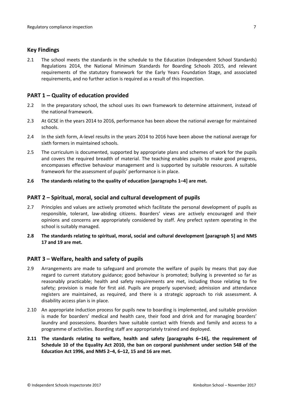#### <span id="page-6-0"></span>**Key Findings**

2.1 The school meets the standards in the schedule to the Education (Independent School Standards) Regulations 2014, the National Minimum Standards for Boarding Schools 2015, and relevant requirements of the statutory framework for the Early Years Foundation Stage, and associated requirements, and no further action is required as a result of this inspection.

#### <span id="page-6-1"></span>**PART 1 – Quality of education provided**

- 2.2 In the preparatory school, the school uses its own framework to determine attainment, instead of the national framework.
- 2.3 At GCSE in the years 2014 to 2016, performance has been above the national average for maintained schools.
- 2.4 In the sixth form, A-level results in the years 2014 to 2016 have been above the national average for sixth formers in maintained schools.
- 2.5 The curriculum is documented, supported by appropriate plans and schemes of work for the pupils and covers the required breadth of material. The teaching enables pupils to make good progress, encompasses effective behaviour management and is supported by suitable resources. A suitable framework for the assessment of pupils' performance is in place.
- **2.6 The standards relating to the quality of education [paragraphs 1–4] are met.**

#### <span id="page-6-2"></span>**PART 2 – Spiritual, moral, social and cultural development of pupils**

- 2.7 Principles and values are actively promoted which facilitate the personal development of pupils as responsible, tolerant, law-abiding citizens. Boarders' views are actively encouraged and their opinions and concerns are appropriately considered by staff. Any prefect system operating in the school is suitably managed.
- **2.8 The standards relating to spiritual, moral, social and cultural development [paragraph 5] and NMS 17 and 19 are met.**

#### <span id="page-6-3"></span>**PART 3 – Welfare, health and safety of pupils**

- 2.9 Arrangements are made to safeguard and promote the welfare of pupils by means that pay due regard to current statutory guidance; good behaviour is promoted; bullying is prevented so far as reasonably practicable; health and safety requirements are met, including those relating to fire safety; provision is made for first aid. Pupils are properly supervised; admission and attendance registers are maintained, as required, and there is a strategic approach to risk assessment. A disability access plan is in place.
- 2.10 An appropriate induction process for pupils new to boarding is implemented, and suitable provision is made for boarders' medical and health care, their food and drink and for managing boarders' laundry and possessions. Boarders have suitable contact with friends and family and access to a programme of activities. Boarding staff are appropriately trained and deployed.
- **2.11 The standards relating to welfare, health and safety [paragraphs 6–16], the requirement of Schedule 10 of the Equality Act 2010, the ban on corporal punishment under section 548 of the Education Act 1996, and NMS 2–4, 6–12, 15 and 16 are met.**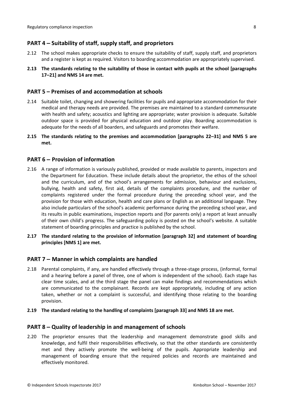### <span id="page-7-0"></span>**PART 4 – Suitability of staff, supply staff, and proprietors**

- 2.12 The school makes appropriate checks to ensure the suitability of staff, supply staff, and proprietors and a register is kept as required. Visitors to boarding accommodation are appropriately supervised.
- **2.13 The standards relating to the suitability of those in contact with pupils at the school [paragraphs 17–21] and NMS 14 are met.**

#### <span id="page-7-1"></span>**PART 5 – Premises of and accommodation at schools**

- 2.14 Suitable toilet, changing and showering facilities for pupils and appropriate accommodation for their medical and therapy needs are provided. The premises are maintained to a standard commensurate with health and safety; acoustics and lighting are appropriate; water provision is adequate. Suitable outdoor space is provided for physical education and outdoor play. Boarding accommodation is adequate for the needs of all boarders, and safeguards and promotes their welfare.
- **2.15 The standards relating to the premises and accommodation [paragraphs 22–31] and NMS 5 are met.**

#### <span id="page-7-2"></span>**PART 6 – Provision of information**

- 2.16 A range of information is variously published, provided or made available to parents, inspectors and the Department for Education. These include details about the proprietor, the ethos of the school and the curriculum, and of the school's arrangements for admission, behaviour and exclusions, bullying, health and safety, first aid, details of the complaints procedure, and the number of complaints registered under the formal procedure during the preceding school year, and the provision for those with education, health and care plans or English as an additional language. They also include particulars of the school's academic performance during the preceding school year, and its results in public examinations, inspection reports and (for parents only) a report at least annually of their own child's progress. The safeguarding policy is posted on the school's website. A suitable statement of boarding principles and practice is published by the school.
- **2.17 The standard relating to the provision of information [paragraph 32] and statement of boarding principles [NMS 1] are met.**

#### <span id="page-7-3"></span>**PART 7 – Manner in which complaints are handled**

- 2.18 Parental complaints, if any, are handled effectively through a three-stage process, (informal, formal and a hearing before a panel of three, one of whom is independent of the school). Each stage has clear time scales, and at the third stage the panel can make findings and recommendations which are communicated to the complainant. Records are kept appropriately, including of any action taken, whether or not a complaint is successful, and identifying those relating to the boarding provision.
- **2.19 The standard relating to the handling of complaints [paragraph 33] and NMS 18 are met.**

#### <span id="page-7-4"></span>**PART 8 – Quality of leadership in and management of schools**

2.20 The proprietor ensures that the leadership and management demonstrate good skills and knowledge, and fulfil their responsibilities effectively, so that the other standards are consistently met and they actively promote the well-being of the pupils. Appropriate leadership and management of boarding ensure that the required policies and records are maintained and effectively monitored.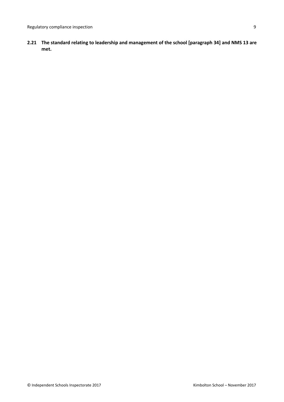**2.21 The standard relating to leadership and management of the school [paragraph 34] and NMS 13 are met.**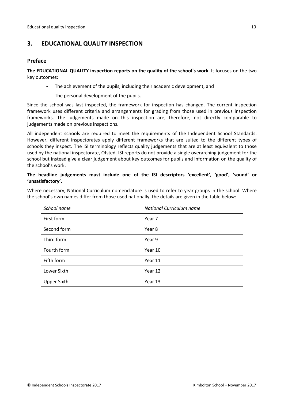## <span id="page-9-0"></span>**3. EDUCATIONAL QUALITY INSPECTION**

#### <span id="page-9-1"></span>**Preface**

**The EDUCATIONAL QUALITY inspection reports on the quality of the school's work**. It focuses on the two key outcomes:

- The achievement of the pupils, including their academic development, and
- The personal development of the pupils.

Since the school was last inspected, the framework for inspection has changed. The current inspection framework uses different criteria and arrangements for grading from those used in previous inspection frameworks. The judgements made on this inspection are, therefore, not directly comparable to judgements made on previous inspections.

All independent schools are required to meet the requirements of the Independent School Standards. However, different inspectorates apply different frameworks that are suited to the different types of schools they inspect. The ISI terminology reflects quality judgements that are at least equivalent to those used by the national inspectorate, Ofsted. ISI reports do not provide a single overarching judgement for the school but instead give a clear judgement about key outcomes for pupils and information on the quality of the school's work.

#### **The headline judgements must include one of the ISI descriptors 'excellent', 'good', 'sound' or 'unsatisfactory'.**

Where necessary, National Curriculum nomenclature is used to refer to year groups in the school. Where the school's own names differ from those used nationally, the details are given in the table below:

| School name        | National Curriculum name |  |  |
|--------------------|--------------------------|--|--|
| First form         | Year 7                   |  |  |
| Second form        | Year 8                   |  |  |
| Third form         | Year 9                   |  |  |
| Fourth form        | Year 10                  |  |  |
| Fifth form         | Year 11                  |  |  |
| Lower Sixth        | Year 12                  |  |  |
| <b>Upper Sixth</b> | Year 13                  |  |  |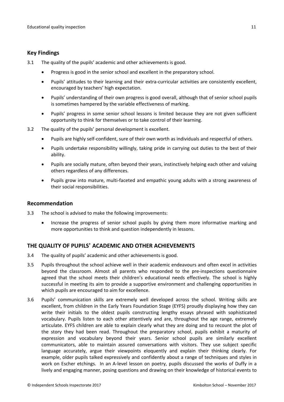#### <span id="page-10-0"></span>**Key Findings**

- 3.1 The quality of the pupils' academic and other achievements is good.
	- Progress is good in the senior school and excellent in the preparatory school.
	- Pupils' attitudes to their learning and their extra-curricular activities are consistently excellent, encouraged by teachers' high expectation.
	- Pupils' understanding of their own progress is good overall, although that of senior school pupils is sometimes hampered by the variable effectiveness of marking.
	- Pupils' progress in some senior school lessons is limited because they are not given sufficient opportunity to think for themselves or to take control of their learning.
- 3.2 The quality of the pupils' personal development is excellent.
	- Pupils are highly self-confident, sure of their own worth as individuals and respectful of others.
	- Pupils undertake responsibility willingly, taking pride in carrying out duties to the best of their ability.
	- Pupils are socially mature, often beyond their years, instinctively helping each other and valuing others regardless of any differences.
	- Pupils grow into mature, multi-faceted and empathic young adults with a strong awareness of their social responsibilities.

#### <span id="page-10-1"></span>**Recommendation**

- 3.3 The school is advised to make the following improvements:
	- Increase the progress of senior school pupils by giving them more informative marking and more opportunities to think and question independently in lessons.

#### <span id="page-10-2"></span>**THE QUALITY OF PUPILS' ACADEMIC AND OTHER ACHIEVEMENTS**

- 3.4 The quality of pupils' academic and other achievements is good.
- 3.5 Pupils throughout the school achieve well in their academic endeavours and often excel in activities beyond the classroom. Almost all parents who responded to the pre-inspections questionnaire agreed that the school meets their children's educational needs effectively. The school is highly successful in meeting its aim to provide a supportive environment and challenging opportunities in which pupils are encouraged to aim for excellence.
- 3.6 Pupils' communication skills are extremely well developed across the school. Writing skills are excellent, from children in the Early Years Foundation Stage (EYFS) proudly displaying how they can write their initials to the oldest pupils constructing lengthy essays phrased with sophisticated vocabulary. Pupils listen to each other attentively and are, throughout the age range, extremely articulate. EYFS children are able to explain clearly what they are doing and to recount the plot of the story they had been read. Throughout the preparatory school, pupils exhibit a maturity of expression and vocabulary beyond their years. Senior school pupils are similarly excellent communicators, able to maintain assured conversations with visitors. They use subject specific language accurately, argue their viewpoints eloquently and explain their thinking clearly. For example, older pupils talked expressively and confidently about a range of techniques and styles in work on Escher etchings. In an A-level lesson on poetry, pupils discussed the works of Duffy in a lively and engaging manner, posing questions and drawing on their knowledge of historical events to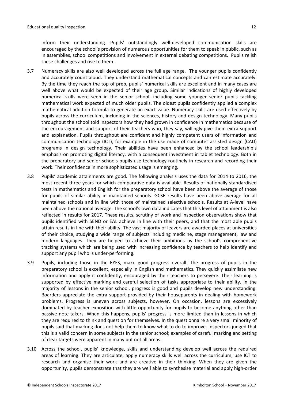inform their understanding. Pupils' outstandingly well-developed communication skills are encouraged by the school's provision of numerous opportunities for them to speak in public, such as in assemblies, school competitions and involvement in external debating competitions. Pupils relish these challenges and rise to them.

- 3.7 Numeracy skills are also well developed across the full age range. The younger pupils confidently and accurately count aloud. They understand mathematical concepts and can estimate accurately. By the time they reach the top of prep, pupils' numerical skills are excellent and in many cases are well above what would be expected of their age group. Similar indications of highly developed numerical skills were seen in the senior school, including some younger senior pupils tackling mathematical work expected of much older pupils. The oldest pupils confidently applied a complex mathematical addition formula to generate an exact value. Numeracy skills are used effectively by pupils across the curriculum, including in the sciences, history and design technology. Many pupils throughout the school told inspectors how they had grown in confidence in mathematics because of the encouragement and support of their teachers who, they say, willingly give them extra support and explanation. Pupils throughout are confident and highly competent users of information and communication technology (ICT), for example in the use made of computer assisted design (CAD) programs in design technology. Their abilities have been enhanced by the school leadership's emphasis on promoting digital literacy, with a consequent investment in tablet technology. Both in the preparatory and senior schools pupils use technology routinely in research and recording their work. Their confidence in more sophisticated usage is emerging.
- 3.8 Pupils' academic attainments are good. The following analysis uses the data for 2014 to 2016, the most recent three years for which comparative data is available. Results of nationally standardised tests in mathematics and English for the preparatory school have been above the average of those for pupils of similar ability in maintained schools. GCSE results have been above average for all maintained schools and in line with those of maintained selective schools. Results at A-level have been above the national average. The school's own data indicates that this level of attainment is also reflected in results for 2017. These results, scrutiny of work and inspection observations show that pupils identified with SEND or EAL achieve in line with their peers, and that the most able pupils attain results in line with their ability. The vast majority of leavers are awarded places at universities of their choice, studying a wide range of subjects including medicine, stage management, law and modern languages. They are helped to achieve their ambitions by the school's comprehensive tracking systems which are being used with increasing confidence by teachers to help identify and support any pupil who is under-performing.
- 3.9 Pupils, including those in the EYFS, make good progress overall. The progress of pupils in the preparatory school is excellent, especially in English and mathematics. They quickly assimilate new information and apply it confidently, encouraged by their teachers to persevere. Their learning is supported by effective marking and careful selection of tasks appropriate to their ability. In the majority of lessons in the senior school, progress is good and pupils develop new understanding. Boarders appreciate the extra support provided by their houseparents in dealing with homework problems. Progress is uneven across subjects, however. On occasion, lessons are excessively dominated by teacher exposition with little opportunity for pupils to become anything other than passive note-takers. When this happens, pupils' progress is more limited than in lessons in which they are required to think and question for themselves. In the questionnaire a very small minority of pupils said that marking does not help them to know what to do to improve. Inspectors judged that this is a valid concern in some subjects in the senior school; examples of careful marking and setting of clear targets were apparent in many but not all areas.
- 3.10 Across the school, pupils' knowledge, skills and understanding develop well across the required areas of learning. They are articulate, apply numeracy skills well across the curriculum, use ICT to research and organise their work and are creative in their thinking. When they are given the opportunity, pupils demonstrate that they are well able to synthesise material and apply high-order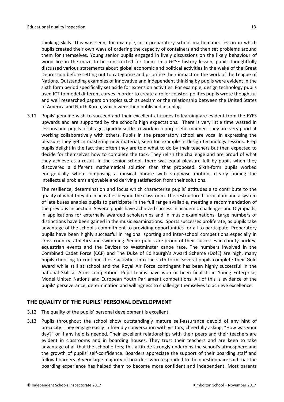thinking skills. This was seen, for example, in a preparatory school mathematics lesson in which pupils created their own ways of ordering the capacity of containers and then set problems around them for themselves. Young senior pupils engaged in lively discussions on the likely behaviour of wood lice in the maze to be constructed for them. In a GCSE history lesson, pupils thoughtfully discussed various statements about global economic and political activities in the wake of the Great Depression before setting out to categorise and prioritise their impact on the work of the League of Nations. Outstanding examples of innovative and independent thinking by pupils were evident in the sixth form period specifically set aside for extension activities. For example, design technology pupils used ICT to model different curves in order to create a roller coaster; politics pupils wrote thoughtful and well researched papers on topics such as sexism or the relationship between the United States of America and North Korea, which were then published in a blog.

3.11 Pupils' genuine wish to succeed and their excellent attitudes to learning are evident from the EYFS upwards and are supported by the school's high expectations. There is very little time wasted in lessons and pupils of all ages quickly settle to work in a purposeful manner. They are very good at working collaboratively with others. Pupils in the preparatory school are vocal in expressing the pleasure they get in mastering new material, seen for example in design technology lessons. Prep pupils delight in the fact that often they are told what to do by their teachers but then expected to decide for themselves how to complete the task. They relish the challenge and are proud of what they achieve as a result. In the senior school, there was equal pleasure felt by pupils when they discovered a different mathematical solution than that proposed. Sixth-form pupils worked energetically when composing a musical phrase with step-wise motion, clearly finding the intellectual problems enjoyable and deriving satisfaction from their solutions.

The resilience, determination and focus which characterise pupils' attitudes also contribute to the quality of what they do in activities beyond the classroom. The restructured curriculum and a system of late buses enables pupils to participate in the full range available, meeting a recommendation of the previous inspection. Several pupils have achieved success in academic challenges and Olympiads, in applications for externally awarded scholarships and in music examinations. Large numbers of distinctions have been gained in the music examinations. Sports successes proliferate, as pupils take advantage of the school's commitment to providing opportunities for all to participate. Preparatory pupils have been highly successful in regional sporting and inter-school competitions especially in cross country, athletics and swimming. Senior pupils are proud of their successes in county hockey, equestrian events and the Devizes to Westminster canoe race. The numbers involved in the Combined Cadet Force (CCF) and The Duke of Edinburgh's Award Scheme (DofE) are high, many pupils choosing to continue these activities into the sixth form. Several pupils complete their Gold award while still at school and the Royal Air Force contingent has been highly successful in the national Skill at Arms competition. Pupil teams have won or been finalists in Young Enterprise, Model United Nations and European Youth Parliament competitions. All of this is evidence of the pupils' perseverance, determination and willingness to challenge themselves to achieve excellence.

#### <span id="page-12-0"></span>**THE QUALITY OF THE PUPILS' PERSONAL DEVELOPMENT**

- 3.12 The quality of the pupils' personal development is excellent.
- 3.13 Pupils throughout the school show outstandingly mature self-assurance devoid of any hint of precocity. They engage easily in friendly conversation with visitors, cheerfully asking, "How was your day?" or if any help is needed. Their excellent relationships with their peers and their teachers are evident in classrooms and in boarding houses. They trust their teachers and are keen to take advantage of all that the school offers; this attitude strongly underpins the school's atmosphere and the growth of pupils' self-confidence. Boarders appreciate the support of their boarding staff and fellow boarders. A very large majority of boarders who responded to the questionnaire said that the boarding experience has helped them to become more confident and independent. Most parents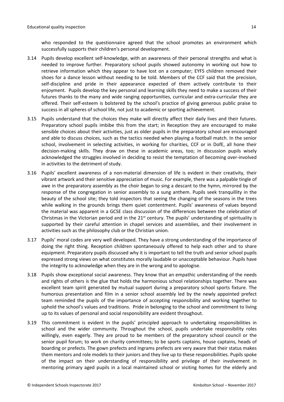who responded to the questionnaire agreed that the school promotes an environment which successfully supports their children's personal development.

- 3.14 Pupils develop excellent self-knowledge, with an awareness of their personal strengths and what is needed to improve further. Preparatory school pupils showed autonomy in working out how to retrieve information which they appear to have lost on a computer; EYFS children removed their shoes for a dance lesson without needing to be told. Members of the CCF said that the precision, self-discipline and pride in their appearance expected of them actively contribute to their enjoyment. Pupils develop the key personal and learning skills they need to make a success of their futures thanks to the many and wide ranging opportunities, curricular and extra-curricular they are offered. Their self-esteem is bolstered by the school's practice of giving generous public praise to success in all spheres of school life, not just to academic or sporting achievement.
- 3.15 Pupils understand that the choices they make will directly affect their daily lives and their futures. Preparatory school pupils imbibe this from the start; in Reception they are encouraged to make sensible choices about their activities, just as older pupils in the preparatory school are encouraged and able to discuss choices, such as the tactics needed when playing a football match. In the senior school, involvement in selecting activities, in working for charities, CCF or in DofE, all hone their decision-making skills. They draw on these in academic areas, too; in discussion pupils wisely acknowledged the struggles involved in deciding to resist the temptation of becoming over-involved in activities to the detriment of study.
- 3.16 Pupils' excellent awareness of a non-material dimension of life is evident in their creativity, their vibrant artwork and their sensitive appreciation of music. For example, there was a palpable tingle of awe in the preparatory assembly as the choir began to sing a descant to the hymn, mirrored by the response of the congregation in senior assembly to a sung anthem. Pupils seek tranquillity in the beauty of the school site; they told inspectors that seeing the changing of the seasons in the trees while walking in the grounds brings them quiet contentment. Pupils' awareness of values beyond the material was apparent in a GCSE class discussion of the differences between the celebration of Christmas in the Victorian period and in the  $21<sup>st</sup>$  century. The pupils' understanding of spirituality is supported by their careful attention in chapel services and assemblies, and their involvement in activities such as the philosophy club or the Christian union.
- 3.17 Pupils' moral codes are very well developed. They have a strong understanding of the importance of doing the right thing. Reception children spontaneously offered to help each other and to share equipment. Preparatory pupils discussed why it is important to tell the truth and senior school pupils expressed strong views on what constitutes morally laudable or unacceptable behaviour. Pupils have the integrity to acknowledge when they are in the wrong and to apologise.
- 3.18 Pupils show exceptional social awareness. They know that an empathic understanding of the needs and rights of others is the glue that holds the harmonious school relationships together. There was excellent team spirit generated by mutual support during a preparatory school sports fixture. The humorous presentation and film in a senior school assembly led by the newly appointed prefect team reminded the pupils of the importance of accepting responsibility and working together to uphold the school's values and traditions. Pride in belonging to the school and commitment to living up to its values of personal and social responsibility are evident throughout.
- 3.19 This commitment is evident in the pupils' principled approach to undertaking responsibilities in school and the wider community. Throughout the school, pupils undertake responsibility roles willingly, even eagerly. They are proud to be members of the preparatory school council or the senior pupil forum; to work on charity committees; to be sports captains, house captains, heads of boarding or prefects. The gown prefects and Ingrams prefects are very aware that their status makes them mentors and role models to their juniors and they live up to these responsibilities. Pupils spoke of the impact on their understanding of responsibility and privilege of their involvement in mentoring primary aged pupils in a local maintained school or visiting homes for the elderly and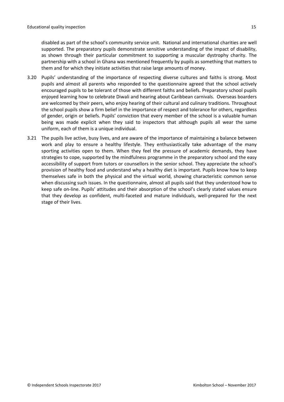disabled as part of the school's community service unit. National and international charities are well supported. The preparatory pupils demonstrate sensitive understanding of the impact of disability, as shown through their particular commitment to supporting a muscular dystrophy charity. The partnership with a school in Ghana was mentioned frequently by pupils as something that matters to them and for which they initiate activities that raise large amounts of money.

- 3.20 Pupils' understanding of the importance of respecting diverse cultures and faiths is strong. Most pupils and almost all parents who responded to the questionnaire agreed that the school actively encouraged pupils to be tolerant of those with different faiths and beliefs. Preparatory school pupils enjoyed learning how to celebrate Diwali and hearing about Caribbean carnivals. Overseas boarders are welcomed by their peers, who enjoy hearing of their cultural and culinary traditions. Throughout the school pupils show a firm belief in the importance of respect and tolerance for others, regardless of gender, origin or beliefs. Pupils' conviction that every member of the school is a valuable human being was made explicit when they said to inspectors that although pupils all wear the same uniform, each of them is a unique individual.
- 3.21 The pupils live active, busy lives, and are aware of the importance of maintaining a balance between work and play to ensure a healthy lifestyle. They enthusiastically take advantage of the many sporting activities open to them. When they feel the pressure of academic demands, they have strategies to cope, supported by the mindfulness programme in the preparatory school and the easy accessibility of support from tutors or counsellors in the senior school. They appreciate the school's provision of healthy food and understand why a healthy diet is important. Pupils know how to keep themselves safe in both the physical and the virtual world, showing characteristic common sense when discussing such issues. In the questionnaire, almost all pupils said that they understood how to keep safe on-line. Pupils' attitudes and their absorption of the school's clearly stated values ensure that they develop as confident, multi-faceted and mature individuals, well-prepared for the next stage of their lives.